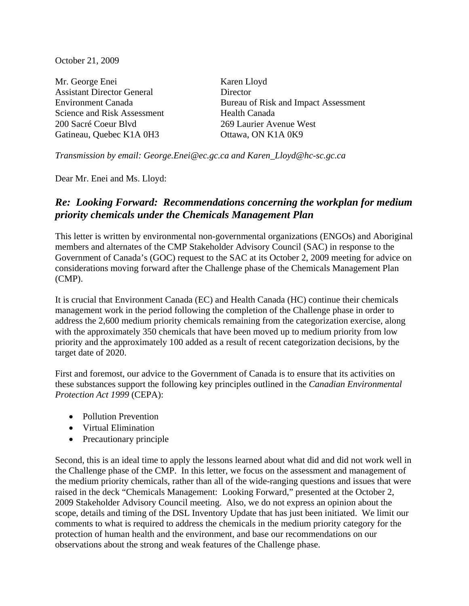October 21, 2009

Mr. George Enei Karen Lloyd Assistant Director General Director Science and Risk Assessment Health Canada 200 Sacré Coeur Blvd 269 Laurier Avenue West Gatineau, Quebec K1A 0H3 Ottawa, ON K1A 0K9

Environment Canada Bureau of Risk and Impact Assessment

*Transmission by email: [George.Enei@ec.gc.ca](mailto:George.Enei@ec.gc.ca) and Karen\_Lloyd@hc-sc.gc.ca* 

Dear Mr. Enei and Ms. Lloyd:

# *Re: Looking Forward: Recommendations concerning the workplan for medium priority chemicals under the Chemicals Management Plan*

This letter is written by environmental non-governmental organizations (ENGOs) and Aboriginal members and alternates of the CMP Stakeholder Advisory Council (SAC) in response to the Government of Canada's (GOC) request to the SAC at its October 2, 2009 meeting for advice on considerations moving forward after the Challenge phase of the Chemicals Management Plan (CMP).

It is crucial that Environment Canada (EC) and Health Canada (HC) continue their chemicals management work in the period following the completion of the Challenge phase in order to address the 2,600 medium priority chemicals remaining from the categorization exercise, along with the approximately 350 chemicals that have been moved up to medium priority from low priority and the approximately 100 added as a result of recent categorization decisions, by the target date of 2020.

First and foremost, our advice to the Government of Canada is to ensure that its activities on these substances support the following key principles outlined in the *Canadian Environmental Protection Act 1999* (CEPA):

- Pollution Prevention
- Virtual Elimination
- Precautionary principle

Second, this is an ideal time to apply the lessons learned about what did and did not work well in the Challenge phase of the CMP. In this letter, we focus on the assessment and management of the medium priority chemicals, rather than all of the wide-ranging questions and issues that were raised in the deck "Chemicals Management: Looking Forward," presented at the October 2, 2009 Stakeholder Advisory Council meeting. Also, we do not express an opinion about the scope, details and timing of the DSL Inventory Update that has just been initiated. We limit our comments to what is required to address the chemicals in the medium priority category for the protection of human health and the environment, and base our recommendations on our observations about the strong and weak features of the Challenge phase.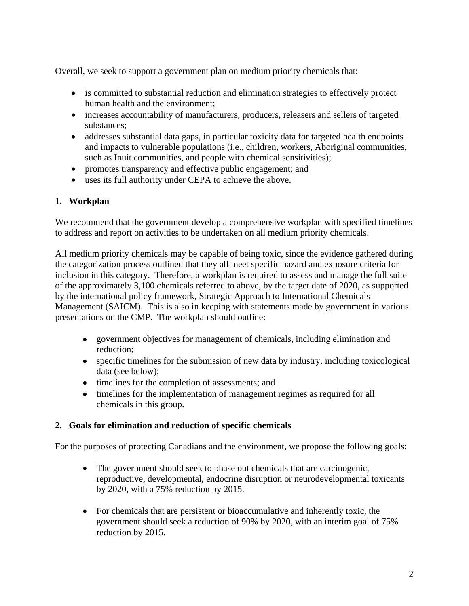Overall, we seek to support a government plan on medium priority chemicals that:

- is committed to substantial reduction and elimination strategies to effectively protect human health and the environment;
- increases accountability of manufacturers, producers, releasers and sellers of targeted substances;
- addresses substantial data gaps, in particular toxicity data for targeted health endpoints and impacts to vulnerable populations (i.e., children, workers, Aboriginal communities, such as Inuit communities, and people with chemical sensitivities);
- promotes transparency and effective public engagement; and
- uses its full authority under CEPA to achieve the above.

## **1. Workplan**

We recommend that the government develop a comprehensive workplan with specified timelines to address and report on activities to be undertaken on all medium priority chemicals.

All medium priority chemicals may be capable of being toxic, since the evidence gathered during the categorization process outlined that they all meet specific hazard and exposure criteria for inclusion in this category. Therefore, a workplan is required to assess and manage the full suite of the approximately 3,100 chemicals referred to above, by the target date of 2020, as supported by the international policy framework, Strategic Approach to International Chemicals Management (SAICM). This is also in keeping with statements made by government in various presentations on the CMP. The workplan should outline:

- government objectives for management of chemicals, including elimination and reduction;
- specific timelines for the submission of new data by industry, including toxicological data (see below);
- timelines for the completion of assessments; and
- timelines for the implementation of management regimes as required for all chemicals in this group.

#### **2. Goals for elimination and reduction of specific chemicals**

For the purposes of protecting Canadians and the environment, we propose the following goals:

- The government should seek to phase out chemicals that are carcinogenic, reproductive, developmental, endocrine disruption or neurodevelopmental toxicants by 2020, with a 75% reduction by 2015.
- For chemicals that are persistent or bioaccumulative and inherently toxic, the government should seek a reduction of 90% by 2020*,* with an interim goal of 75% reduction by 2015.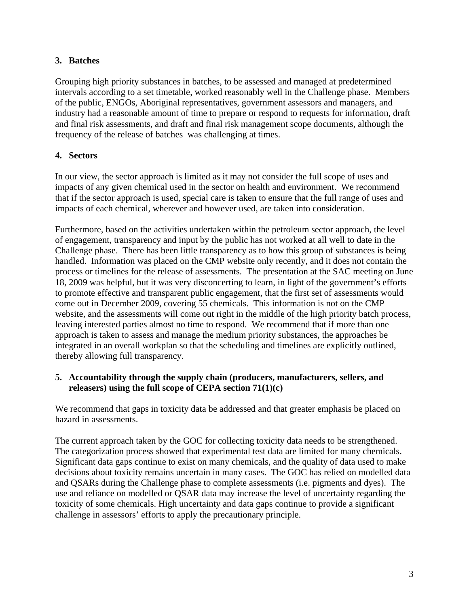## **3. Batches**

Grouping high priority substances in batches, to be assessed and managed at predetermined intervals according to a set timetable, worked reasonably well in the Challenge phase. Members of the public, ENGOs, Aboriginal representatives, government assessors and managers, and industry had a reasonable amount of time to prepare or respond to requests for information, draft and final risk assessments, and draft and final risk management scope documents, although the frequency of the release of batches was challenging at times.

## **4. Sectors**

In our view, the sector approach is limited as it may not consider the full scope of uses and impacts of any given chemical used in the sector on health and environment. We recommend that if the sector approach is used, special care is taken to ensure that the full range of uses and impacts of each chemical, wherever and however used, are taken into consideration.

Furthermore, based on the activities undertaken within the petroleum sector approach, the level of engagement, transparency and input by the public has not worked at all well to date in the Challenge phase. There has been little transparency as to how this group of substances is being handled. Information was placed on the CMP website only recently, and it does not contain the process or timelines for the release of assessments. The presentation at the SAC meeting on June 18, 2009 was helpful, but it was very disconcerting to learn, in light of the government's efforts to promote effective and transparent public engagement, that the first set of assessments would come out in December 2009, covering 55 chemicals. This information is not on the CMP website, and the assessments will come out right in the middle of the high priority batch process, leaving interested parties almost no time to respond. We recommend that if more than one approach is taken to assess and manage the medium priority substances, the approaches be integrated in an overall workplan so that the scheduling and timelines are explicitly outlined, thereby allowing full transparency.

#### **5. Accountability through the supply chain (producers, manufacturers, sellers, and releasers) using the full scope of CEPA section 71(1)(c)**

We recommend that gaps in toxicity data be addressed and that greater emphasis be placed on hazard in assessments.

The current approach taken by the GOC for collecting toxicity data needs to be strengthened. The categorization process showed that experimental test data are limited for many chemicals. Significant data gaps continue to exist on many chemicals, and the quality of data used to make decisions about toxicity remains uncertain in many cases. The GOC has relied on modelled data and QSARs during the Challenge phase to complete assessments (i.e. pigments and dyes). The use and reliance on modelled or QSAR data may increase the level of uncertainty regarding the toxicity of some chemicals. High uncertainty and data gaps continue to provide a significant challenge in assessors' efforts to apply the precautionary principle.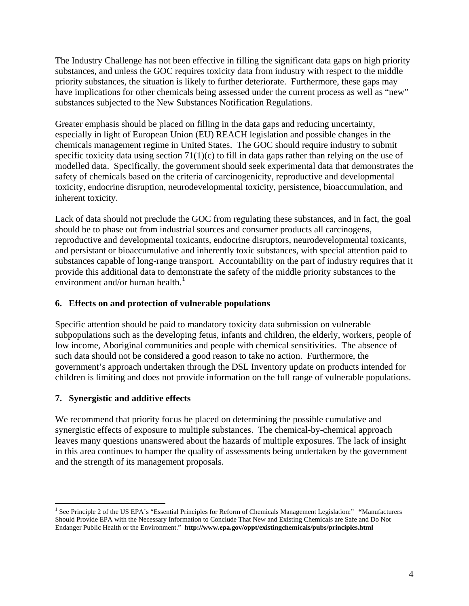The Industry Challenge has not been effective in filling the significant data gaps on high priority substances, and unless the GOC requires toxicity data from industry with respect to the middle priority substances, the situation is likely to further deteriorate. Furthermore, these gaps may have implications for other chemicals being assessed under the current process as well as "new" substances subjected to the New Substances Notification Regulations.

Greater emphasis should be placed on filling in the data gaps and reducing uncertainty, especially in light of European Union (EU) REACH legislation and possible changes in the chemicals management regime in United States. The GOC should require industry to submit specific toxicity data using section 71(1)(c) to fill in data gaps rather than relying on the use of modelled data. Specifically, the government should seek experimental data that demonstrates the safety of chemicals based on the criteria of carcinogenicity, reproductive and developmental toxicity, endocrine disruption, neurodevelopmental toxicity, persistence, bioaccumulation, and inherent toxicity.

Lack of data should not preclude the GOC from regulating these substances, and in fact, the goal should be to phase out from industrial sources and consumer products all carcinogens, reproductive and developmental toxicants, endocrine disruptors, neurodevelopmental toxicants, and persistant or bioaccumulative and inherently toxic substances, with special attention paid to substances capable of long-range transport. Accountability on the part of industry requires that it provide this additional data to demonstrate the safety of the middle priority substances to the environment and/or human health. $<sup>1</sup>$  $<sup>1</sup>$  $<sup>1</sup>$ </sup>

#### **6. Effects on and protection of vulnerable populations**

Specific attention should be paid to mandatory toxicity data submission on vulnerable subpopulations such as the developing fetus, infants and children, the elderly, workers, people of low income, Aboriginal communities and people with chemical sensitivities. The absence of such data should not be considered a good reason to take no action. Furthermore, the government's approach undertaken through the DSL Inventory update on products intended for children is limiting and does not provide information on the full range of vulnerable populations.

#### **7. Synergistic and additive effects**

 $\overline{a}$ 

We recommend that priority focus be placed on determining the possible cumulative and synergistic effects of exposure to multiple substances. The chemical-by-chemical approach leaves many questions unanswered about the hazards of multiple exposures. The lack of insight in this area continues to hamper the quality of assessments being undertaken by the government and the strength of its management proposals.

<span id="page-3-0"></span><sup>1</sup> See Principle 2 of the US EPA's "Essential Principles for Reform of Chemicals Management Legislation:" **"**Manufacturers Should Provide EPA with the Necessary Information to Conclude That New and Existing Chemicals are Safe and Do Not Endanger Public Health or the Environment." **<http://www.epa.gov/oppt/existingchemicals/pubs/principles.html>**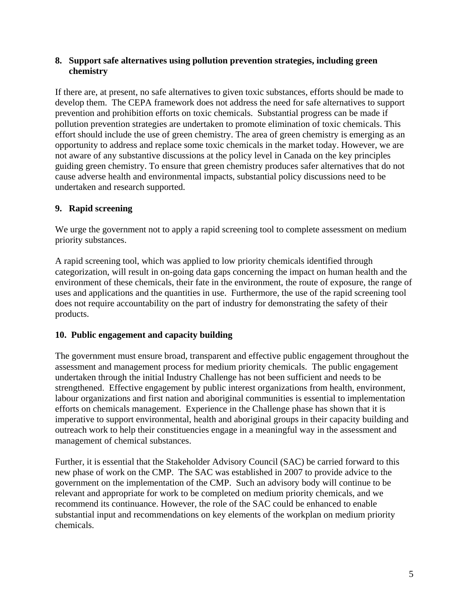#### **8. Support safe alternatives using pollution prevention strategies, including green chemistry**

If there are, at present, no safe alternatives to given toxic substances, efforts should be made to develop them. The CEPA framework does not address the need for safe alternatives to support prevention and prohibition efforts on toxic chemicals. Substantial progress can be made if pollution prevention strategies are undertaken to promote elimination of toxic chemicals. This effort should include the use of green chemistry. The area of green chemistry is emerging as an opportunity to address and replace some toxic chemicals in the market today. However, we are not aware of any substantive discussions at the policy level in Canada on the key principles guiding green chemistry. To ensure that green chemistry produces safer alternatives that do not cause adverse health and environmental impacts, substantial policy discussions need to be undertaken and research supported.

## **9. Rapid screening**

We urge the government not to apply a rapid screening tool to complete assessment on medium priority substances.

A rapid screening tool, which was applied to low priority chemicals identified through categorization, will result in on-going data gaps concerning the impact on human health and the environment of these chemicals, their fate in the environment, the route of exposure, the range of uses and applications and the quantities in use. Furthermore, the use of the rapid screening tool does not require accountability on the part of industry for demonstrating the safety of their products.

#### **10. Public engagement and capacity building**

The government must ensure broad, transparent and effective public engagement throughout the assessment and management process for medium priority chemicals. The public engagement undertaken through the initial Industry Challenge has not been sufficient and needs to be strengthened. Effective engagement by public interest organizations from health, environment, labour organizations and first nation and aboriginal communities is essential to implementation efforts on chemicals management. Experience in the Challenge phase has shown that it is imperative to support environmental, health and aboriginal groups in their capacity building and outreach work to help their constituencies engage in a meaningful way in the assessment and management of chemical substances.

Further, it is essential that the Stakeholder Advisory Council (SAC) be carried forward to this new phase of work on the CMP. The SAC was established in 2007 to provide advice to the government on the implementation of the CMP. Such an advisory body will continue to be relevant and appropriate for work to be completed on medium priority chemicals, and we recommend its continuance. However, the role of the SAC could be enhanced to enable substantial input and recommendations on key elements of the workplan on medium priority chemicals.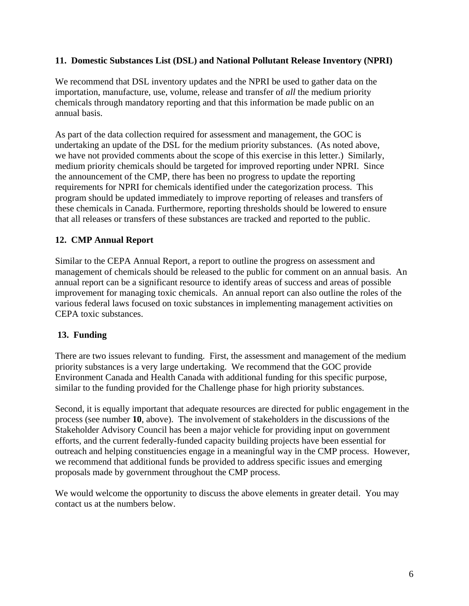#### **11. Domestic Substances List (DSL) and National Pollutant Release Inventory (NPRI)**

We recommend that DSL inventory updates and the NPRI be used to gather data on the importation, manufacture, use, volume, release and transfer of *all* the medium priority chemicals through mandatory reporting and that this information be made public on an annual basis.

As part of the data collection required for assessment and management, the GOC is undertaking an update of the DSL for the medium priority substances. (As noted above, we have not provided comments about the scope of this exercise in this letter.) Similarly, medium priority chemicals should be targeted for improved reporting under NPRI. Since the announcement of the CMP, there has been no progress to update the reporting requirements for NPRI for chemicals identified under the categorization process. This program should be updated immediately to improve reporting of releases and transfers of these chemicals in Canada. Furthermore, reporting thresholds should be lowered to ensure that all releases or transfers of these substances are tracked and reported to the public.

## **12. CMP Annual Report**

Similar to the CEPA Annual Report, a report to outline the progress on assessment and management of chemicals should be released to the public for comment on an annual basis. An annual report can be a significant resource to identify areas of success and areas of possible improvement for managing toxic chemicals. An annual report can also outline the roles of the various federal laws focused on toxic substances in implementing management activities on CEPA toxic substances.

#### **13. Funding**

There are two issues relevant to funding. First, the assessment and management of the medium priority substances is a very large undertaking. We recommend that the GOC provide Environment Canada and Health Canada with additional funding for this specific purpose, similar to the funding provided for the Challenge phase for high priority substances.

Second, it is equally important that adequate resources are directed for public engagement in the process (see number **10**, above). The involvement of stakeholders in the discussions of the Stakeholder Advisory Council has been a major vehicle for providing input on government efforts, and the current federally-funded capacity building projects have been essential for outreach and helping constituencies engage in a meaningful way in the CMP process. However, we recommend that additional funds be provided to address specific issues and emerging proposals made by government throughout the CMP process.

We would welcome the opportunity to discuss the above elements in greater detail. You may contact us at the numbers below.